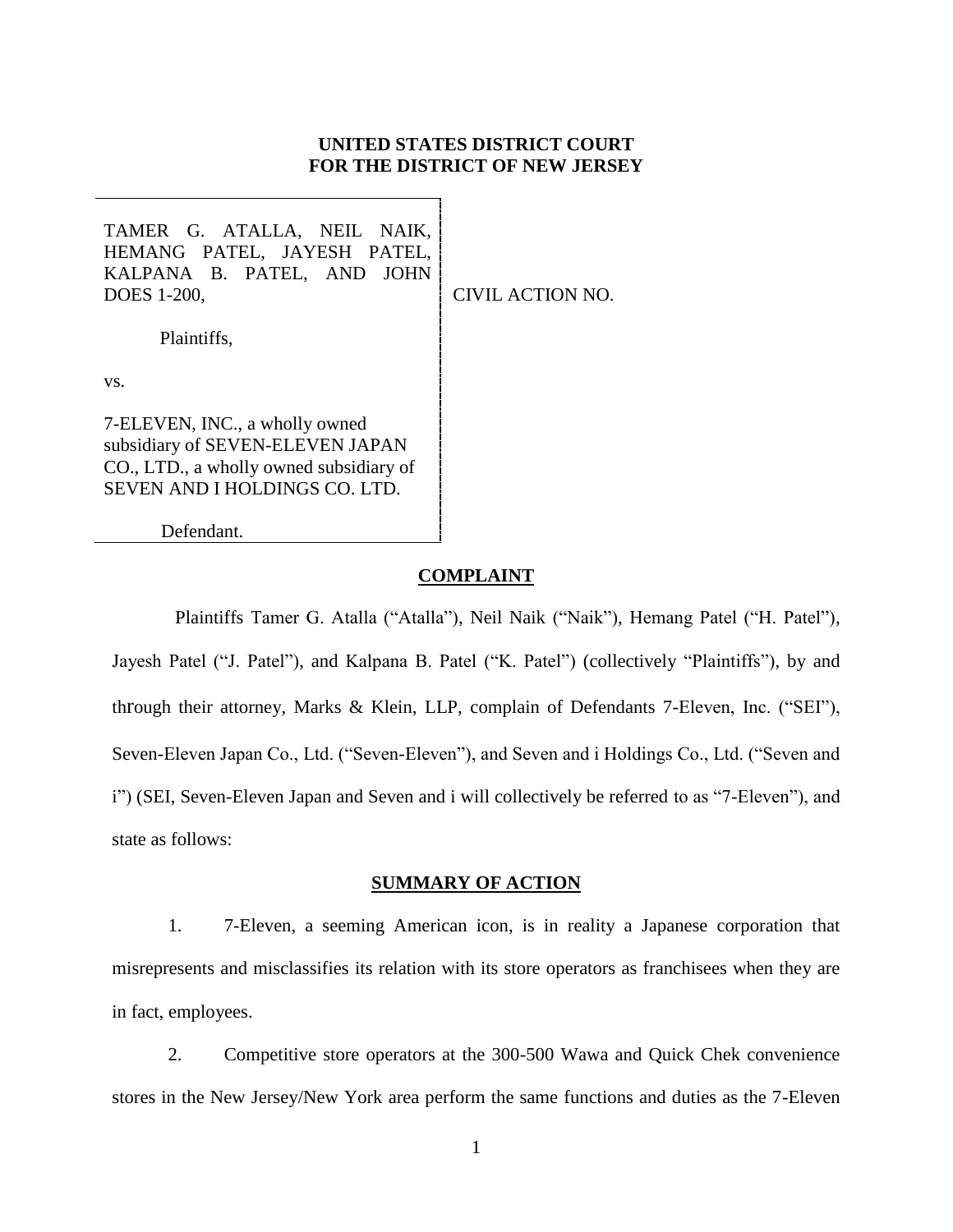## **UNITED STATES DISTRICT COURT FOR THE DISTRICT OF NEW JERSEY**

TAMER G. ATALLA, NEIL NAIK, HEMANG PATEL, JAYESH PATEL, KALPANA B. PATEL, AND JOHN DOES 1-200, Plaintiffs, CIVIL ACTION NO.

vs.

7-ELEVEN, INC., a wholly owned subsidiary of SEVEN-ELEVEN JAPAN CO., LTD., a wholly owned subsidiary of SEVEN AND I HOLDINGS CO. LTD.

Defendant.

## **COMPLAINT**

Plaintiffs Tamer G. Atalla ("Atalla"), Neil Naik ("Naik"), Hemang Patel ("H. Patel"), Jayesh Patel ("J. Patel"), and Kalpana B. Patel ("K. Patel") (collectively "Plaintiffs"), by and through their attorney, Marks & Klein, LLP, complain of Defendants 7-Eleven, Inc. ("SEI"), Seven-Eleven Japan Co., Ltd. ("Seven-Eleven"), and Seven and i Holdings Co., Ltd. ("Seven and i") (SEI, Seven-Eleven Japan and Seven and i will collectively be referred to as "7-Eleven"), and state as follows:

#### **SUMMARY OF ACTION**

1. 7-Eleven, a seeming American icon, is in reality a Japanese corporation that misrepresents and misclassifies its relation with its store operators as franchisees when they are in fact, employees.

2. Competitive store operators at the 300-500 Wawa and Quick Chek convenience stores in the New Jersey/New York area perform the same functions and duties as the 7-Eleven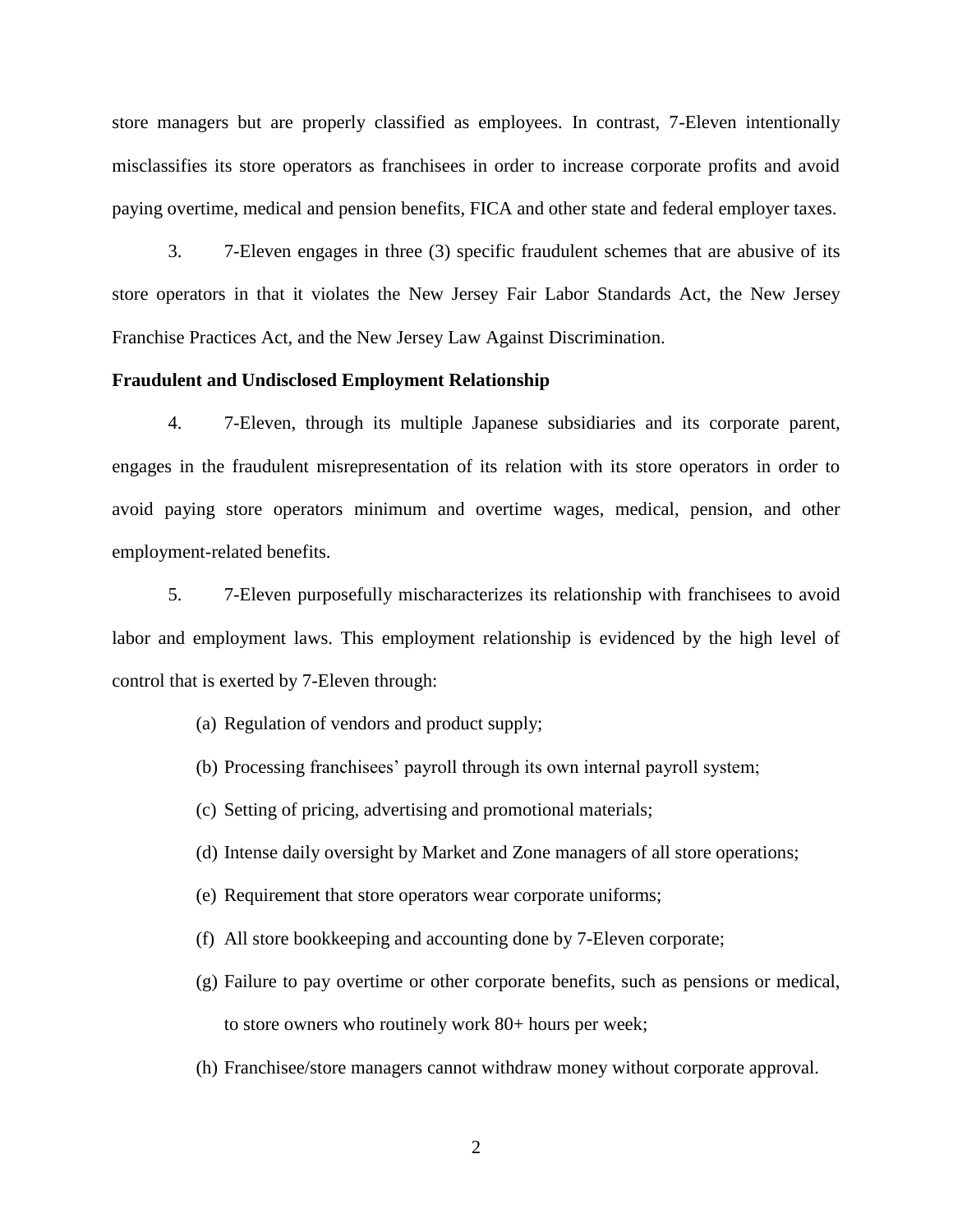store managers but are properly classified as employees. In contrast, 7-Eleven intentionally misclassifies its store operators as franchisees in order to increase corporate profits and avoid paying overtime, medical and pension benefits, FICA and other state and federal employer taxes.

3. 7-Eleven engages in three (3) specific fraudulent schemes that are abusive of its store operators in that it violates the New Jersey Fair Labor Standards Act, the New Jersey Franchise Practices Act, and the New Jersey Law Against Discrimination.

#### **Fraudulent and Undisclosed Employment Relationship**

4. 7-Eleven, through its multiple Japanese subsidiaries and its corporate parent, engages in the fraudulent misrepresentation of its relation with its store operators in order to avoid paying store operators minimum and overtime wages, medical, pension, and other employment-related benefits.

5. 7-Eleven purposefully mischaracterizes its relationship with franchisees to avoid labor and employment laws. This employment relationship is evidenced by the high level of control that is exerted by 7-Eleven through:

- (a) Regulation of vendors and product supply;
- (b) Processing franchisees' payroll through its own internal payroll system;
- (c) Setting of pricing, advertising and promotional materials;
- (d) Intense daily oversight by Market and Zone managers of all store operations;
- (e) Requirement that store operators wear corporate uniforms;
- (f) All store bookkeeping and accounting done by 7-Eleven corporate;
- (g) Failure to pay overtime or other corporate benefits, such as pensions or medical, to store owners who routinely work 80+ hours per week;
- (h) Franchisee/store managers cannot withdraw money without corporate approval.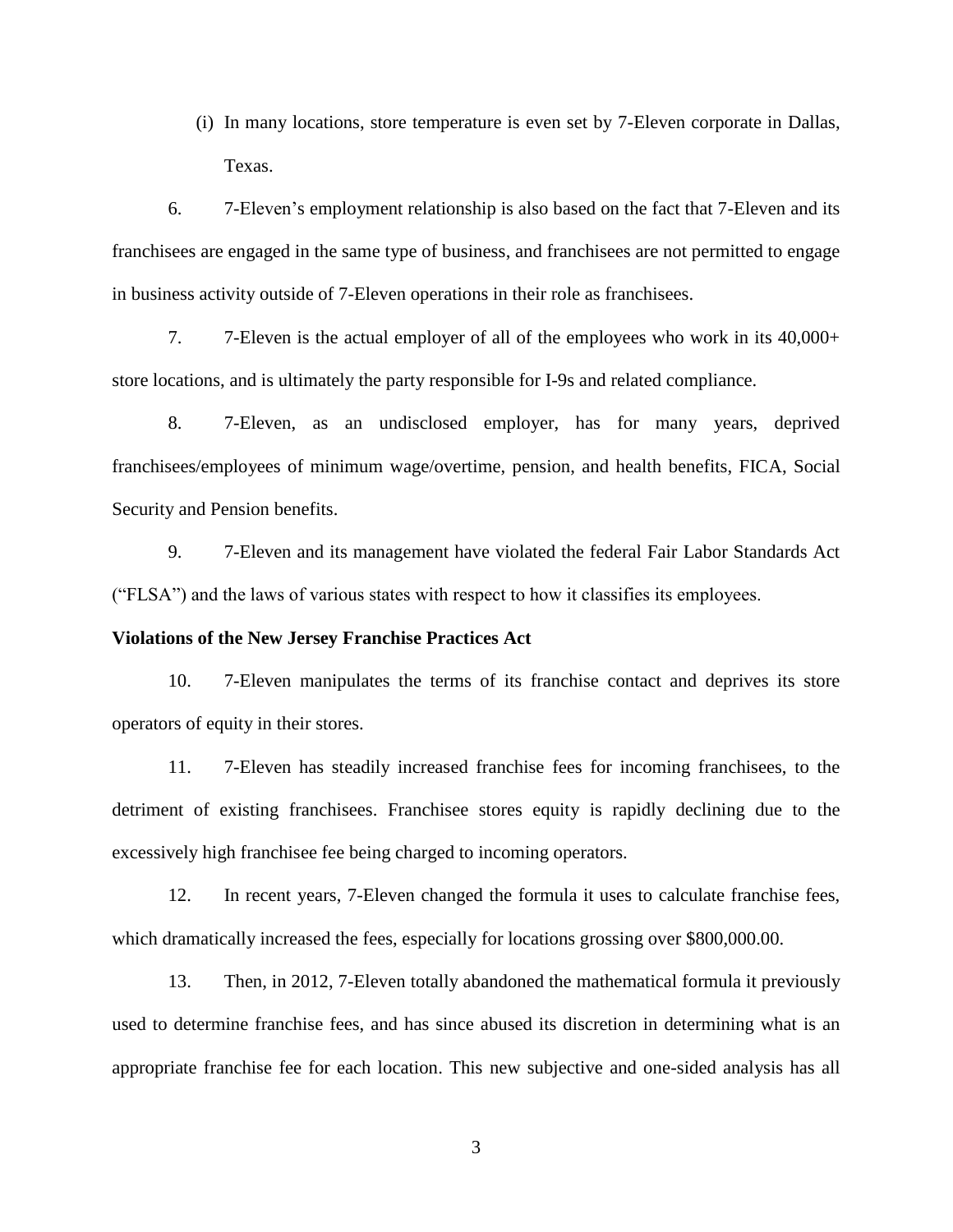(i) In many locations, store temperature is even set by 7-Eleven corporate in Dallas, Texas.

6. 7-Eleven's employment relationship is also based on the fact that 7-Eleven and its franchisees are engaged in the same type of business, and franchisees are not permitted to engage in business activity outside of 7-Eleven operations in their role as franchisees.

7. 7-Eleven is the actual employer of all of the employees who work in its 40,000+ store locations, and is ultimately the party responsible for I-9s and related compliance.

8. 7-Eleven, as an undisclosed employer, has for many years, deprived franchisees/employees of minimum wage/overtime, pension, and health benefits, FICA, Social Security and Pension benefits.

9. 7-Eleven and its management have violated the federal Fair Labor Standards Act ("FLSA") and the laws of various states with respect to how it classifies its employees.

#### **Violations of the New Jersey Franchise Practices Act**

10. 7-Eleven manipulates the terms of its franchise contact and deprives its store operators of equity in their stores.

11. 7-Eleven has steadily increased franchise fees for incoming franchisees, to the detriment of existing franchisees. Franchisee stores equity is rapidly declining due to the excessively high franchisee fee being charged to incoming operators.

12. In recent years, 7-Eleven changed the formula it uses to calculate franchise fees, which dramatically increased the fees, especially for locations grossing over \$800,000.00.

13. Then, in 2012, 7-Eleven totally abandoned the mathematical formula it previously used to determine franchise fees, and has since abused its discretion in determining what is an appropriate franchise fee for each location. This new subjective and one-sided analysis has all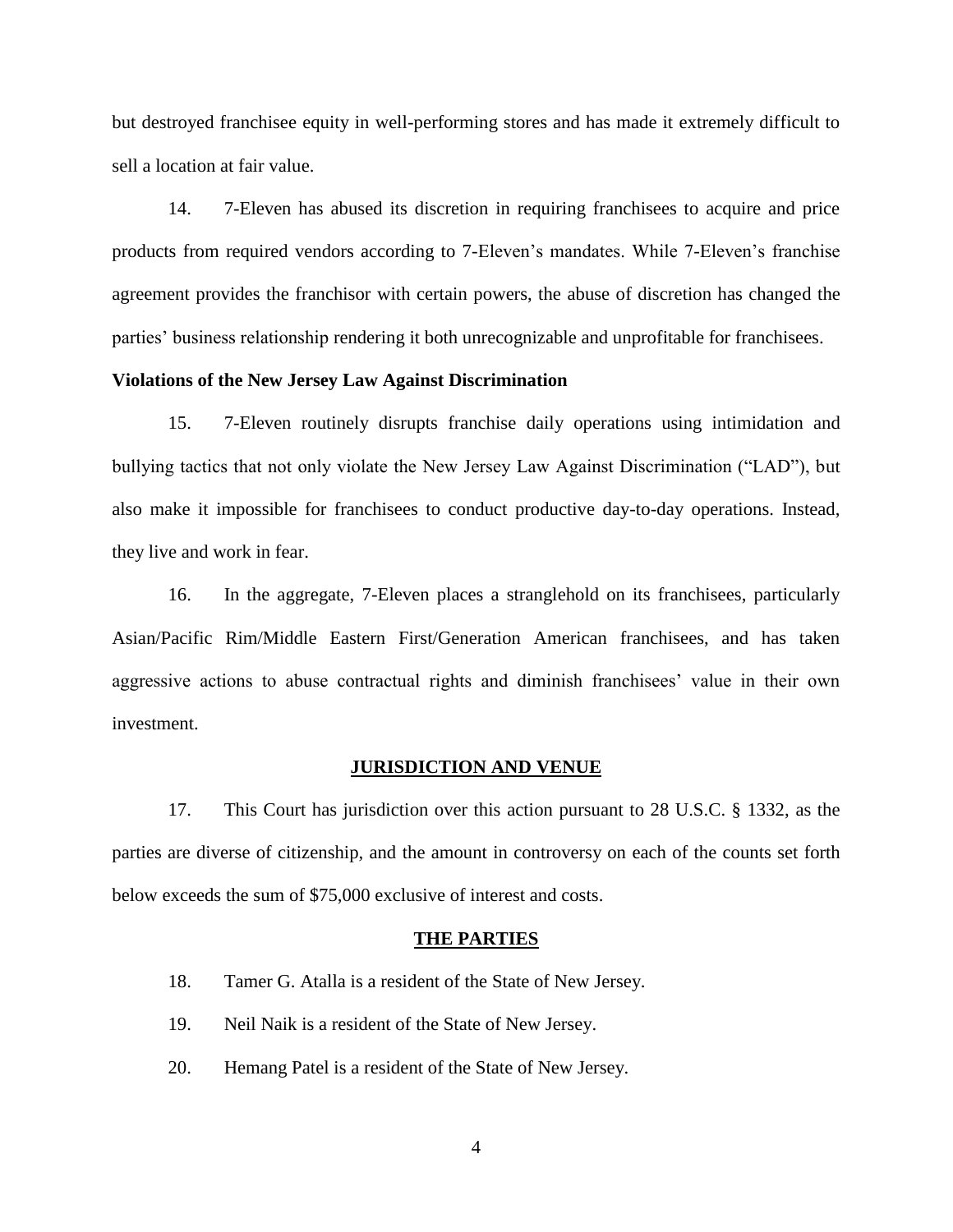but destroyed franchisee equity in well-performing stores and has made it extremely difficult to sell a location at fair value.

14. 7-Eleven has abused its discretion in requiring franchisees to acquire and price products from required vendors according to 7-Eleven's mandates. While 7-Eleven's franchise agreement provides the franchisor with certain powers, the abuse of discretion has changed the parties' business relationship rendering it both unrecognizable and unprofitable for franchisees.

## **Violations of the New Jersey Law Against Discrimination**

15. 7-Eleven routinely disrupts franchise daily operations using intimidation and bullying tactics that not only violate the New Jersey Law Against Discrimination ("LAD"), but also make it impossible for franchisees to conduct productive day-to-day operations. Instead, they live and work in fear.

16. In the aggregate, 7-Eleven places a stranglehold on its franchisees, particularly Asian/Pacific Rim/Middle Eastern First/Generation American franchisees, and has taken aggressive actions to abuse contractual rights and diminish franchisees' value in their own investment.

#### **JURISDICTION AND VENUE**

17. This Court has jurisdiction over this action pursuant to 28 U.S.C. § 1332, as the parties are diverse of citizenship, and the amount in controversy on each of the counts set forth below exceeds the sum of \$75,000 exclusive of interest and costs.

#### **THE PARTIES**

- 18. Tamer G. Atalla is a resident of the State of New Jersey.
- 19. Neil Naik is a resident of the State of New Jersey.
- 20. Hemang Patel is a resident of the State of New Jersey.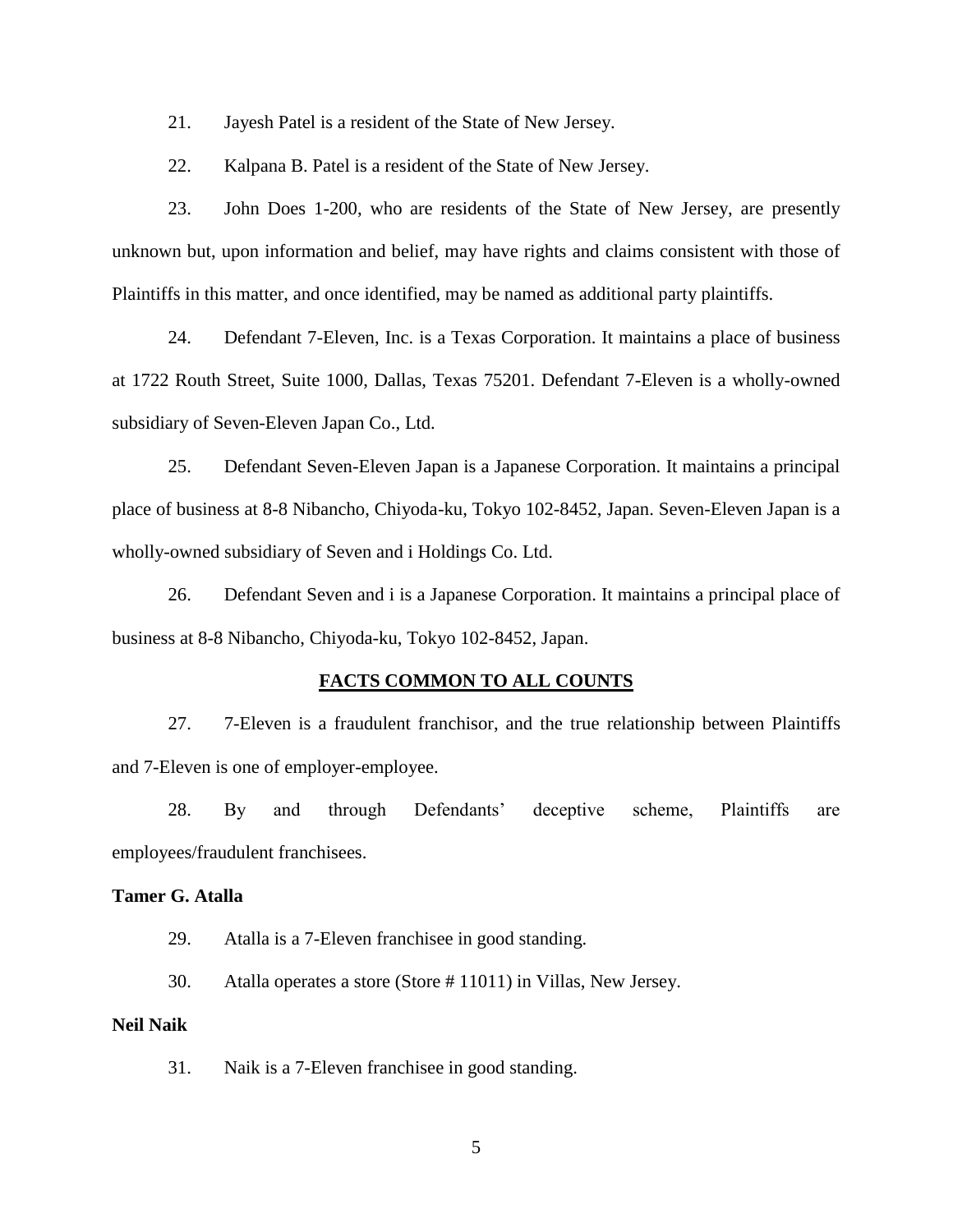21. Jayesh Patel is a resident of the State of New Jersey.

22. Kalpana B. Patel is a resident of the State of New Jersey.

23. John Does 1-200, who are residents of the State of New Jersey, are presently unknown but, upon information and belief, may have rights and claims consistent with those of Plaintiffs in this matter, and once identified, may be named as additional party plaintiffs.

24. Defendant 7-Eleven, Inc. is a Texas Corporation. It maintains a place of business at 1722 Routh Street, Suite 1000, Dallas, Texas 75201. Defendant 7-Eleven is a wholly-owned subsidiary of Seven-Eleven Japan Co., Ltd.

25. Defendant Seven-Eleven Japan is a Japanese Corporation. It maintains a principal place of business at 8-8 Nibancho, Chiyoda-ku, Tokyo 102-8452, Japan. Seven-Eleven Japan is a wholly-owned subsidiary of Seven and i Holdings Co. Ltd.

26. Defendant Seven and i is a Japanese Corporation. It maintains a principal place of business at 8-8 Nibancho, Chiyoda-ku, Tokyo 102-8452, Japan.

#### **FACTS COMMON TO ALL COUNTS**

27. 7-Eleven is a fraudulent franchisor, and the true relationship between Plaintiffs and 7-Eleven is one of employer-employee.

28. By and through Defendants' deceptive scheme, Plaintiffs are employees/fraudulent franchisees.

## **Tamer G. Atalla**

29. Atalla is a 7-Eleven franchisee in good standing.

30. Atalla operates a store (Store # 11011) in Villas, New Jersey.

#### **Neil Naik**

31. Naik is a 7-Eleven franchisee in good standing.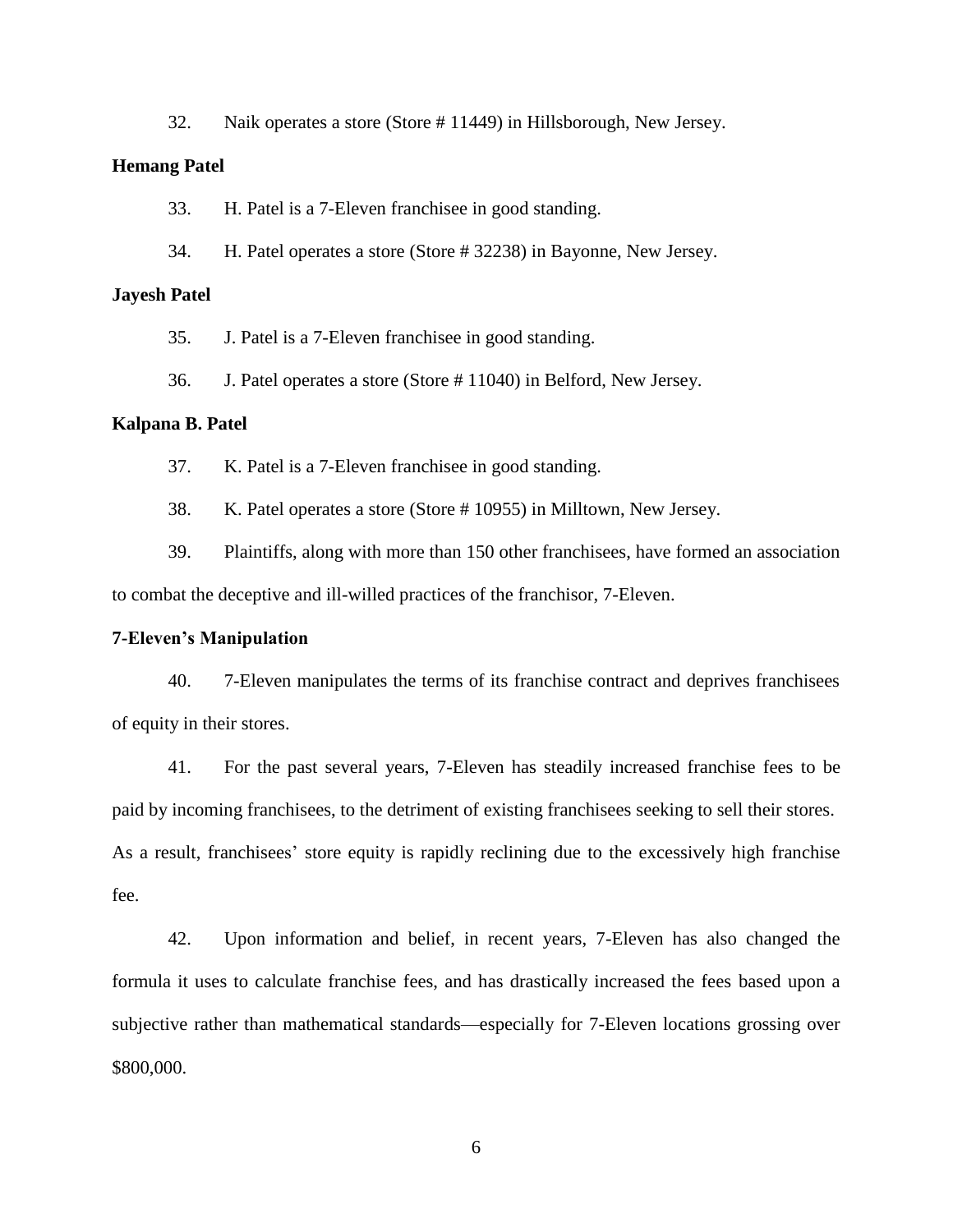32. Naik operates a store (Store # 11449) in Hillsborough, New Jersey.

#### **Hemang Patel**

33. H. Patel is a 7-Eleven franchisee in good standing.

34. H. Patel operates a store (Store # 32238) in Bayonne, New Jersey.

## **Jayesh Patel**

35. J. Patel is a 7-Eleven franchisee in good standing.

36. J. Patel operates a store (Store # 11040) in Belford, New Jersey.

#### **Kalpana B. Patel**

37. K. Patel is a 7-Eleven franchisee in good standing.

38. K. Patel operates a store (Store # 10955) in Milltown, New Jersey.

39. Plaintiffs, along with more than 150 other franchisees, have formed an association to combat the deceptive and ill-willed practices of the franchisor, 7-Eleven.

#### **7-Eleven's Manipulation**

40. 7-Eleven manipulates the terms of its franchise contract and deprives franchisees of equity in their stores.

41. For the past several years, 7-Eleven has steadily increased franchise fees to be paid by incoming franchisees, to the detriment of existing franchisees seeking to sell their stores. As a result, franchisees' store equity is rapidly reclining due to the excessively high franchise fee.

42. Upon information and belief, in recent years, 7-Eleven has also changed the formula it uses to calculate franchise fees, and has drastically increased the fees based upon a subjective rather than mathematical standards—especially for 7-Eleven locations grossing over \$800,000.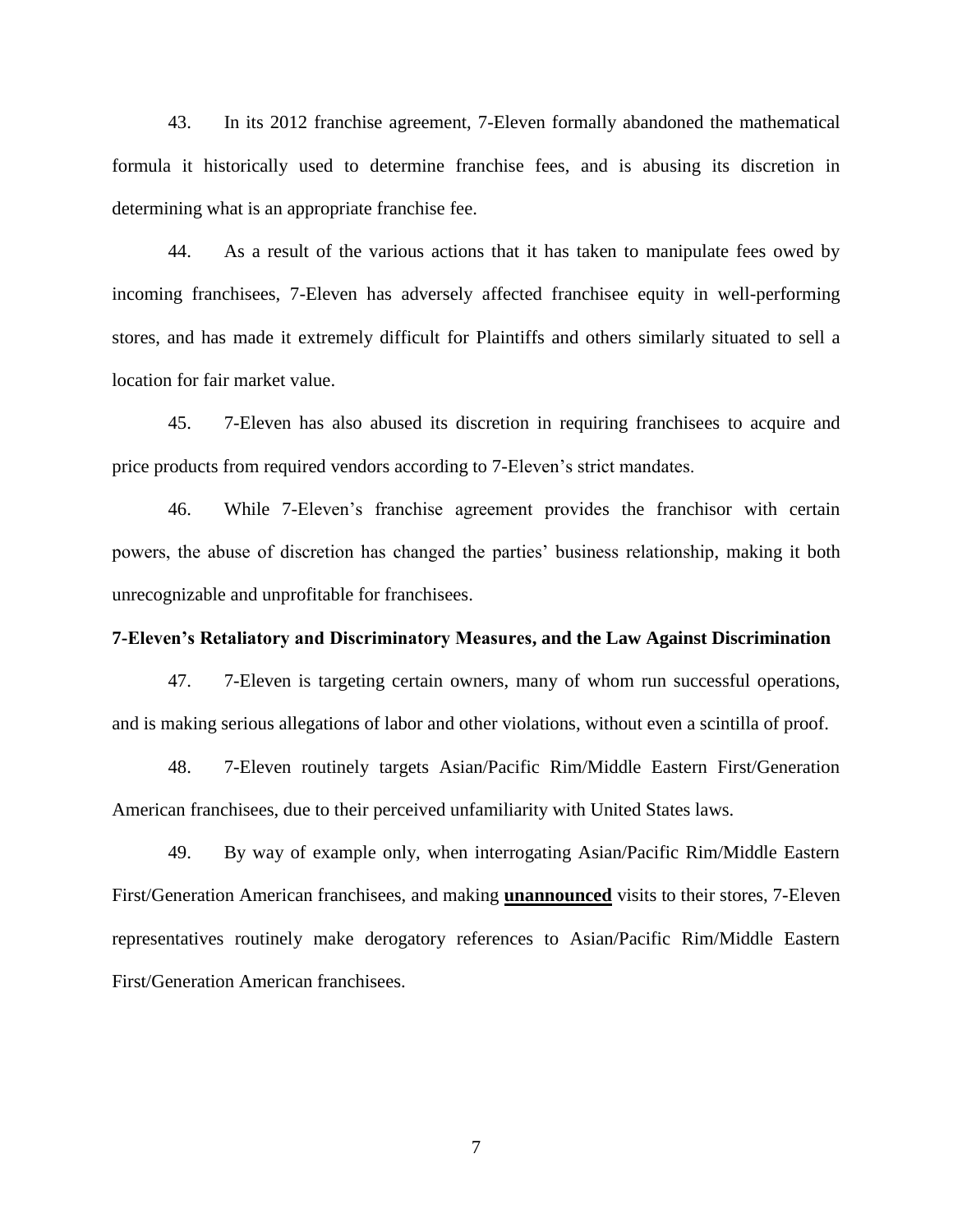43. In its 2012 franchise agreement, 7-Eleven formally abandoned the mathematical formula it historically used to determine franchise fees, and is abusing its discretion in determining what is an appropriate franchise fee.

44. As a result of the various actions that it has taken to manipulate fees owed by incoming franchisees, 7-Eleven has adversely affected franchisee equity in well-performing stores, and has made it extremely difficult for Plaintiffs and others similarly situated to sell a location for fair market value.

45. 7-Eleven has also abused its discretion in requiring franchisees to acquire and price products from required vendors according to 7-Eleven's strict mandates.

46. While 7-Eleven's franchise agreement provides the franchisor with certain powers, the abuse of discretion has changed the parties' business relationship, making it both unrecognizable and unprofitable for franchisees.

#### **7-Eleven's Retaliatory and Discriminatory Measures, and the Law Against Discrimination**

47. 7-Eleven is targeting certain owners, many of whom run successful operations, and is making serious allegations of labor and other violations, without even a scintilla of proof.

48. 7-Eleven routinely targets Asian/Pacific Rim/Middle Eastern First/Generation American franchisees, due to their perceived unfamiliarity with United States laws.

49. By way of example only, when interrogating Asian/Pacific Rim/Middle Eastern First/Generation American franchisees, and making **unannounced** visits to their stores, 7-Eleven representatives routinely make derogatory references to Asian/Pacific Rim/Middle Eastern First/Generation American franchisees.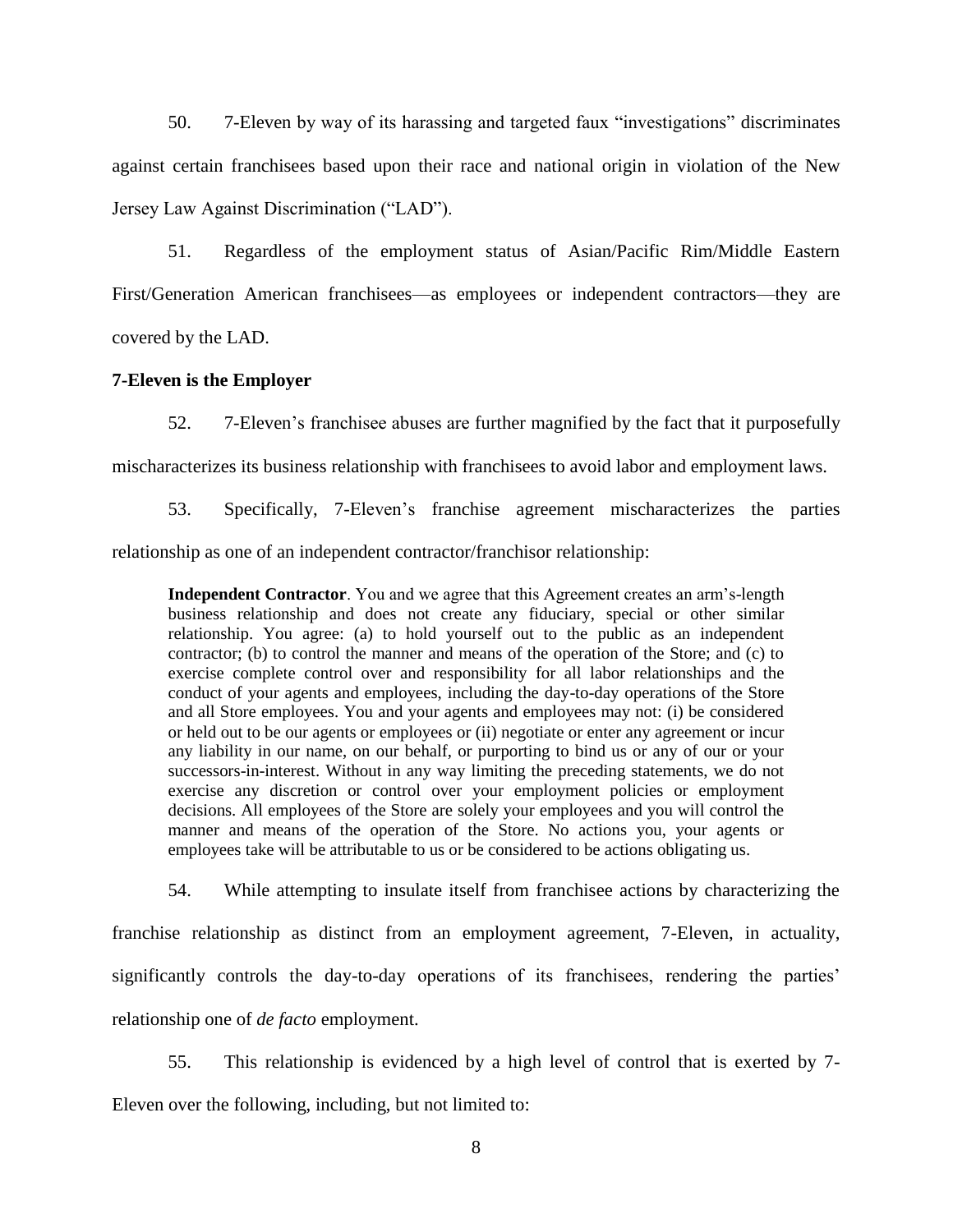50. 7-Eleven by way of its harassing and targeted faux "investigations" discriminates against certain franchisees based upon their race and national origin in violation of the New Jersey Law Against Discrimination ("LAD").

51. Regardless of the employment status of Asian/Pacific Rim/Middle Eastern First/Generation American franchisees—as employees or independent contractors—they are covered by the LAD.

#### **7-Eleven is the Employer**

52. 7-Eleven's franchisee abuses are further magnified by the fact that it purposefully mischaracterizes its business relationship with franchisees to avoid labor and employment laws.

53. Specifically, 7-Eleven's franchise agreement mischaracterizes the parties relationship as one of an independent contractor/franchisor relationship:

**Independent Contractor**. You and we agree that this Agreement creates an arm's-length business relationship and does not create any fiduciary, special or other similar relationship. You agree: (a) to hold yourself out to the public as an independent contractor; (b) to control the manner and means of the operation of the Store; and (c) to exercise complete control over and responsibility for all labor relationships and the conduct of your agents and employees, including the day-to-day operations of the Store and all Store employees. You and your agents and employees may not: (i) be considered or held out to be our agents or employees or (ii) negotiate or enter any agreement or incur any liability in our name, on our behalf, or purporting to bind us or any of our or your successors-in-interest. Without in any way limiting the preceding statements, we do not exercise any discretion or control over your employment policies or employment decisions. All employees of the Store are solely your employees and you will control the manner and means of the operation of the Store. No actions you, your agents or employees take will be attributable to us or be considered to be actions obligating us.

54. While attempting to insulate itself from franchisee actions by characterizing the

franchise relationship as distinct from an employment agreement, 7-Eleven, in actuality, significantly controls the day-to-day operations of its franchisees, rendering the parties' relationship one of *de facto* employment.

55. This relationship is evidenced by a high level of control that is exerted by 7- Eleven over the following, including, but not limited to: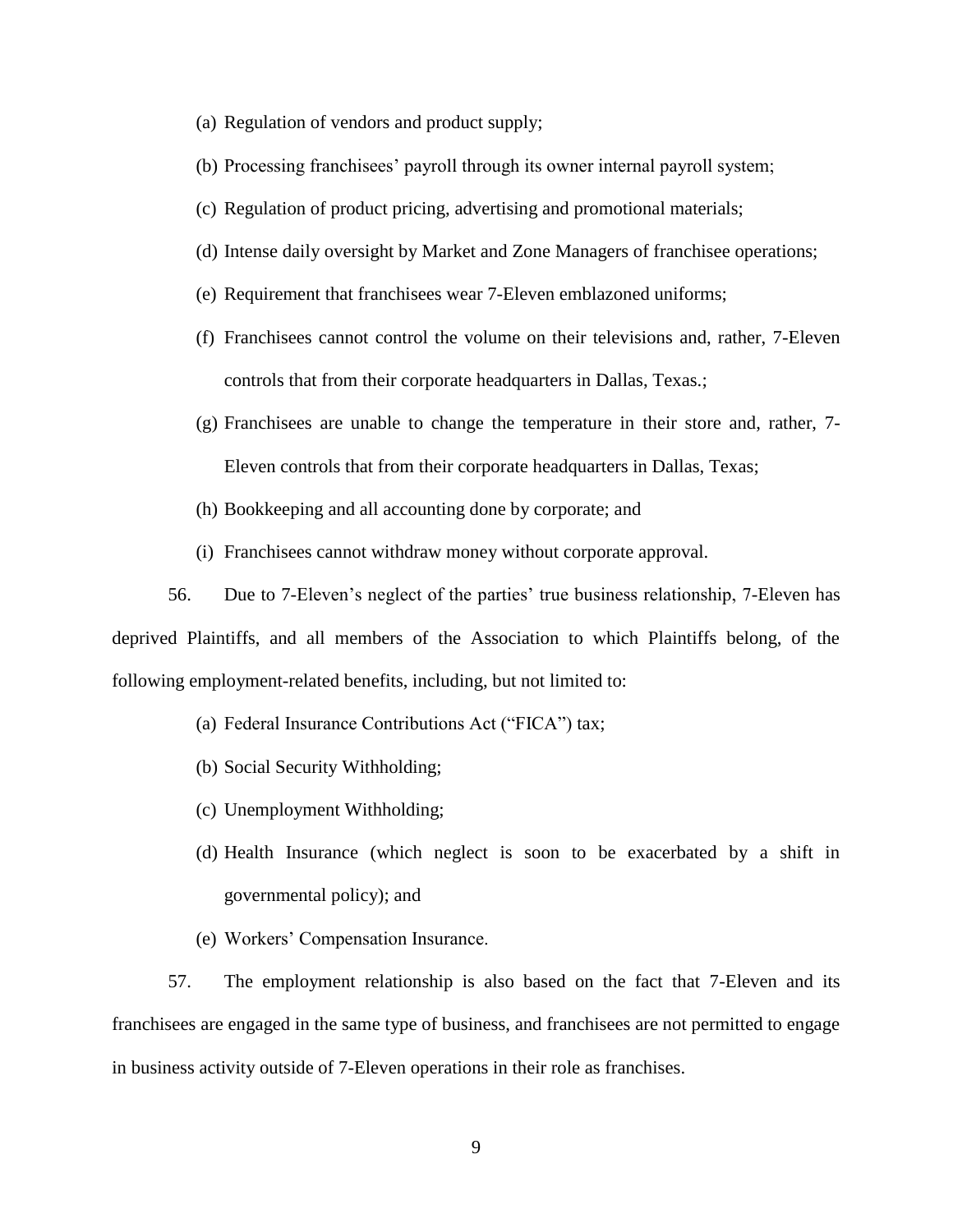- (a) Regulation of vendors and product supply;
- (b) Processing franchisees' payroll through its owner internal payroll system;
- (c) Regulation of product pricing, advertising and promotional materials;
- (d) Intense daily oversight by Market and Zone Managers of franchisee operations;
- (e) Requirement that franchisees wear 7-Eleven emblazoned uniforms;
- (f) Franchisees cannot control the volume on their televisions and, rather, 7-Eleven controls that from their corporate headquarters in Dallas, Texas.;
- (g) Franchisees are unable to change the temperature in their store and, rather, 7- Eleven controls that from their corporate headquarters in Dallas, Texas;
- (h) Bookkeeping and all accounting done by corporate; and
- (i) Franchisees cannot withdraw money without corporate approval.

56. Due to 7-Eleven's neglect of the parties' true business relationship, 7-Eleven has deprived Plaintiffs, and all members of the Association to which Plaintiffs belong, of the following employment-related benefits, including, but not limited to:

- (a) Federal Insurance Contributions Act ("FICA") tax;
- (b) Social Security Withholding;
- (c) Unemployment Withholding;
- (d) Health Insurance (which neglect is soon to be exacerbated by a shift in governmental policy); and
- (e) Workers' Compensation Insurance.

57. The employment relationship is also based on the fact that 7-Eleven and its franchisees are engaged in the same type of business, and franchisees are not permitted to engage in business activity outside of 7-Eleven operations in their role as franchises.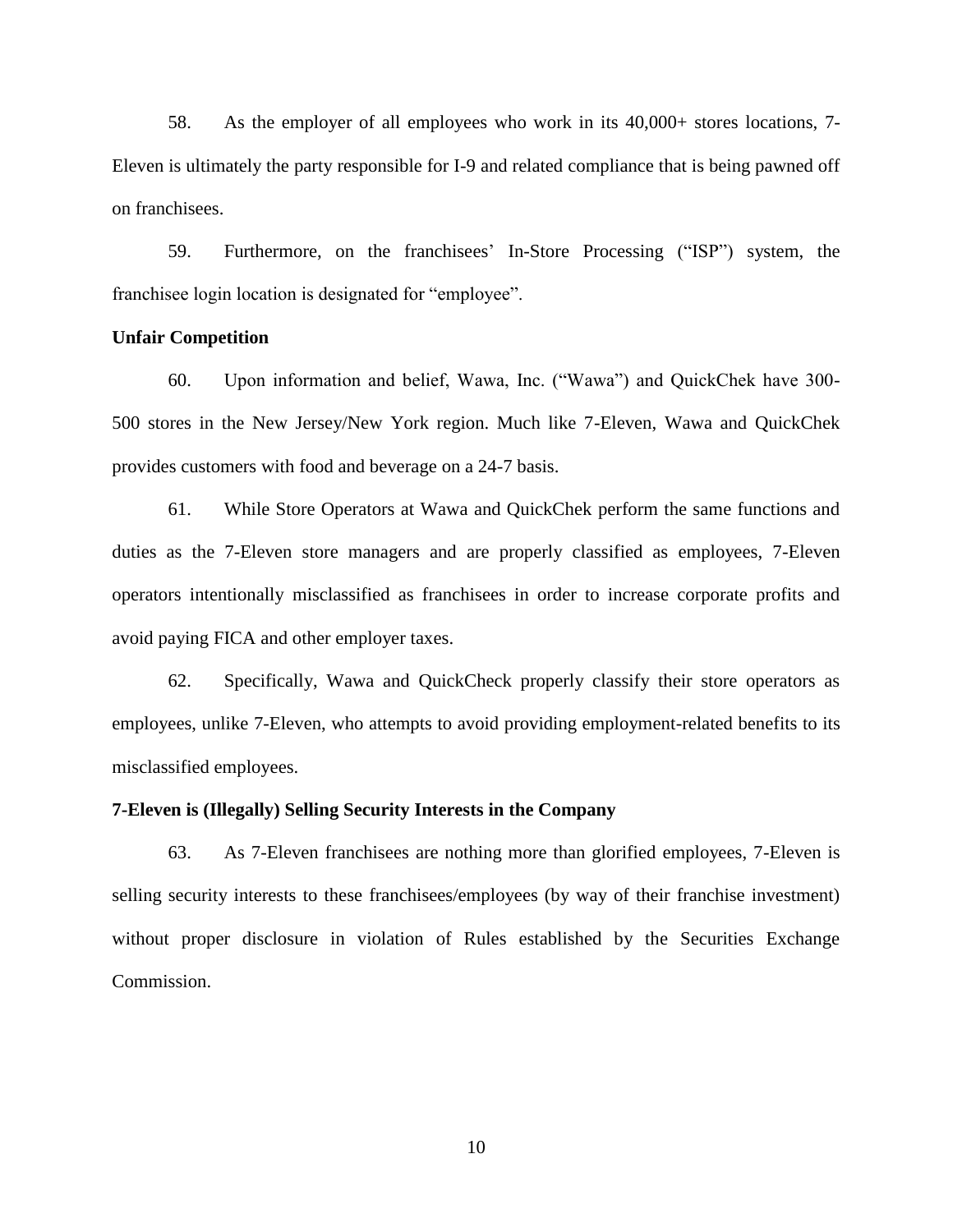58. As the employer of all employees who work in its 40,000+ stores locations, 7- Eleven is ultimately the party responsible for I-9 and related compliance that is being pawned off on franchisees.

59. Furthermore, on the franchisees' In-Store Processing ("ISP") system, the franchisee login location is designated for "employee".

#### **Unfair Competition**

60. Upon information and belief, Wawa, Inc. ("Wawa") and QuickChek have 300- 500 stores in the New Jersey/New York region. Much like 7-Eleven, Wawa and QuickChek provides customers with food and beverage on a 24-7 basis.

61. While Store Operators at Wawa and QuickChek perform the same functions and duties as the 7-Eleven store managers and are properly classified as employees, 7-Eleven operators intentionally misclassified as franchisees in order to increase corporate profits and avoid paying FICA and other employer taxes.

62. Specifically, Wawa and QuickCheck properly classify their store operators as employees, unlike 7-Eleven, who attempts to avoid providing employment-related benefits to its misclassified employees.

#### **7-Eleven is (Illegally) Selling Security Interests in the Company**

63. As 7-Eleven franchisees are nothing more than glorified employees, 7-Eleven is selling security interests to these franchisees/employees (by way of their franchise investment) without proper disclosure in violation of Rules established by the Securities Exchange Commission.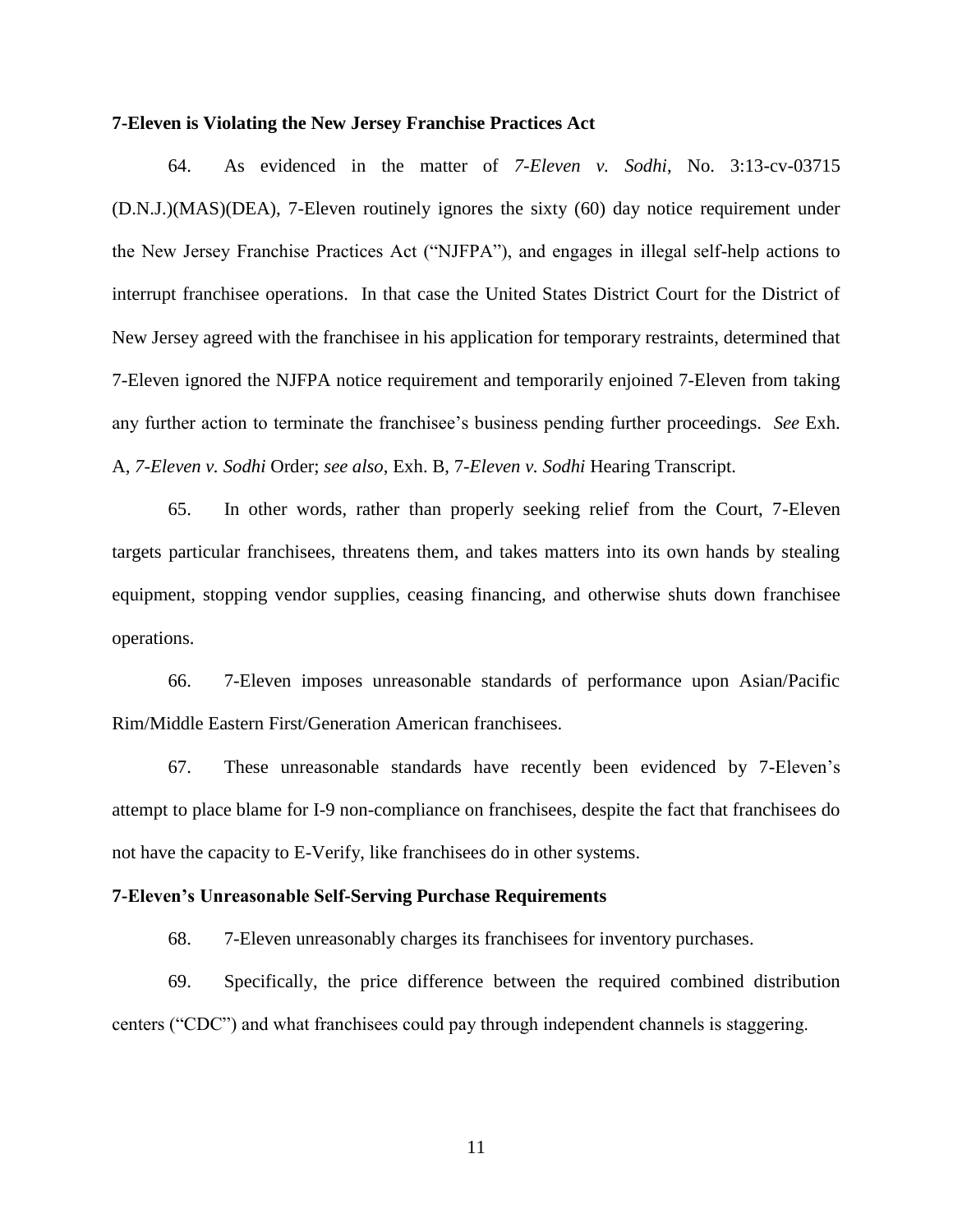#### **7-Eleven is Violating the New Jersey Franchise Practices Act**

64. As evidenced in the matter of *7-Eleven v. Sodhi*, No. 3:13-cv-03715 (D.N.J.)(MAS)(DEA), 7-Eleven routinely ignores the sixty (60) day notice requirement under the New Jersey Franchise Practices Act ("NJFPA"), and engages in illegal self-help actions to interrupt franchisee operations. In that case the United States District Court for the District of New Jersey agreed with the franchisee in his application for temporary restraints, determined that 7-Eleven ignored the NJFPA notice requirement and temporarily enjoined 7-Eleven from taking any further action to terminate the franchisee's business pending further proceedings. *See* Exh. A, *7-Eleven v. Sodhi* Order; *see also*, Exh. B, 7-*Eleven v. Sodhi* Hearing Transcript.

65. In other words, rather than properly seeking relief from the Court, 7-Eleven targets particular franchisees, threatens them, and takes matters into its own hands by stealing equipment, stopping vendor supplies, ceasing financing, and otherwise shuts down franchisee operations.

66. 7-Eleven imposes unreasonable standards of performance upon Asian/Pacific Rim/Middle Eastern First/Generation American franchisees.

67. These unreasonable standards have recently been evidenced by 7-Eleven's attempt to place blame for I-9 non-compliance on franchisees, despite the fact that franchisees do not have the capacity to E-Verify, like franchisees do in other systems.

## **7-Eleven's Unreasonable Self-Serving Purchase Requirements**

68. 7-Eleven unreasonably charges its franchisees for inventory purchases.

69. Specifically, the price difference between the required combined distribution centers ("CDC") and what franchisees could pay through independent channels is staggering.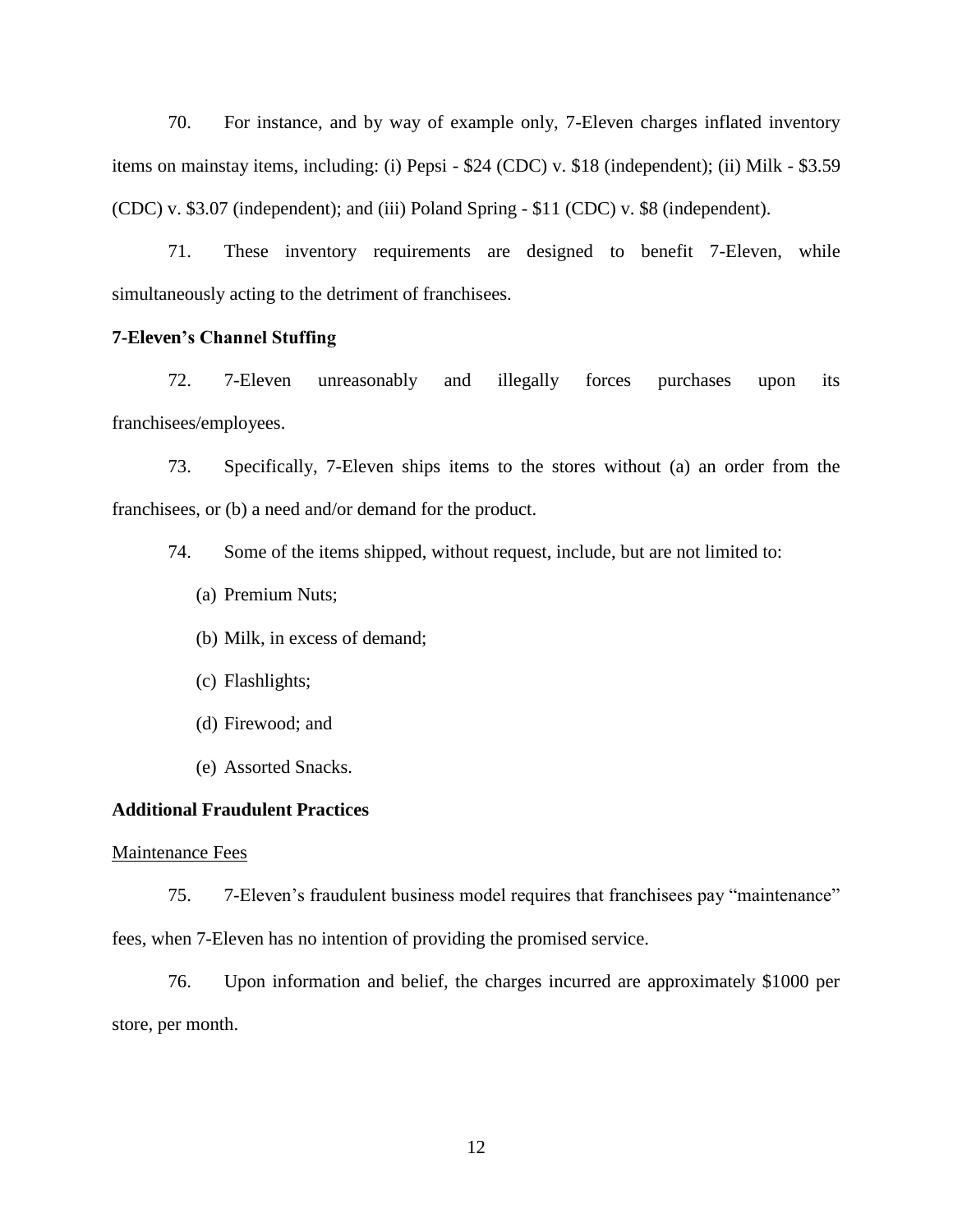70. For instance, and by way of example only, 7-Eleven charges inflated inventory items on mainstay items, including: (i) Pepsi - \$24 (CDC) v. \$18 (independent); (ii) Milk - \$3.59 (CDC) v. \$3.07 (independent); and (iii) Poland Spring - \$11 (CDC) v. \$8 (independent).

71. These inventory requirements are designed to benefit 7-Eleven, while simultaneously acting to the detriment of franchisees.

#### **7-Eleven's Channel Stuffing**

72. 7-Eleven unreasonably and illegally forces purchases upon its franchisees/employees.

73. Specifically, 7-Eleven ships items to the stores without (a) an order from the franchisees, or (b) a need and/or demand for the product.

74. Some of the items shipped, without request, include, but are not limited to:

- (a) Premium Nuts;
- (b) Milk, in excess of demand;
- (c) Flashlights;
- (d) Firewood; and
- (e) Assorted Snacks.

#### **Additional Fraudulent Practices**

#### Maintenance Fees

75. 7-Eleven's fraudulent business model requires that franchisees pay "maintenance" fees, when 7-Eleven has no intention of providing the promised service.

76. Upon information and belief, the charges incurred are approximately \$1000 per store, per month.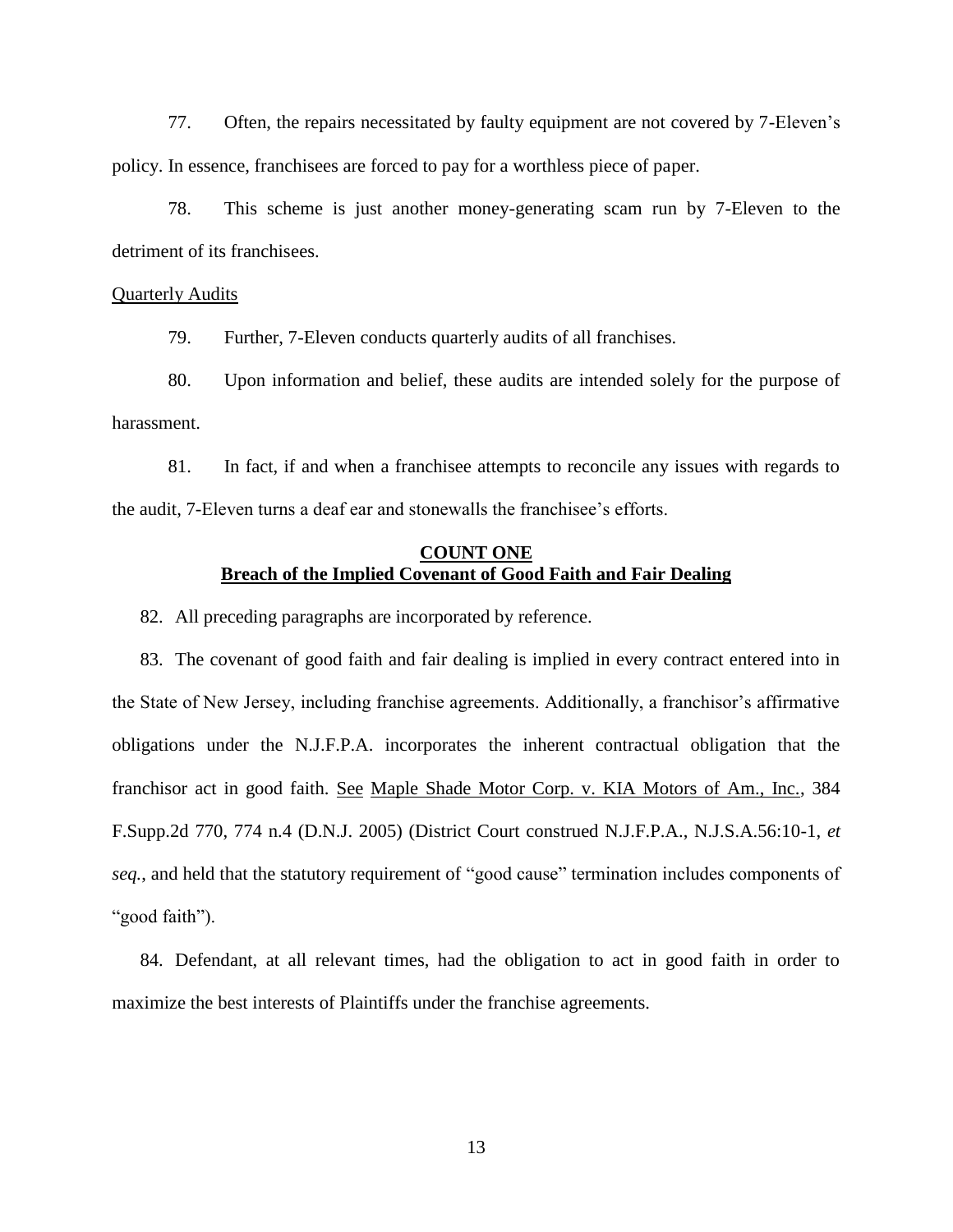77. Often, the repairs necessitated by faulty equipment are not covered by 7-Eleven's policy. In essence, franchisees are forced to pay for a worthless piece of paper.

78. This scheme is just another money-generating scam run by 7-Eleven to the detriment of its franchisees.

#### Quarterly Audits

79. Further, 7-Eleven conducts quarterly audits of all franchises.

80. Upon information and belief, these audits are intended solely for the purpose of harassment.

81. In fact, if and when a franchisee attempts to reconcile any issues with regards to the audit, 7-Eleven turns a deaf ear and stonewalls the franchisee's efforts.

## **COUNT ONE Breach of the Implied Covenant of Good Faith and Fair Dealing**

82. All preceding paragraphs are incorporated by reference.

83. The covenant of good faith and fair dealing is implied in every contract entered into in the State of New Jersey, including franchise agreements. Additionally, a franchisor's affirmative obligations under the N.J.F.P.A. incorporates the inherent contractual obligation that the franchisor act in good faith. See Maple Shade Motor Corp. v. KIA Motors of Am., Inc., 384 F.Supp.2d 770, 774 n.4 (D.N.J. 2005) (District Court construed N.J.F.P.A., N.J.S.A.56:10-1, *et seq.*, and held that the statutory requirement of "good cause" termination includes components of "good faith").

84. Defendant, at all relevant times, had the obligation to act in good faith in order to maximize the best interests of Plaintiffs under the franchise agreements.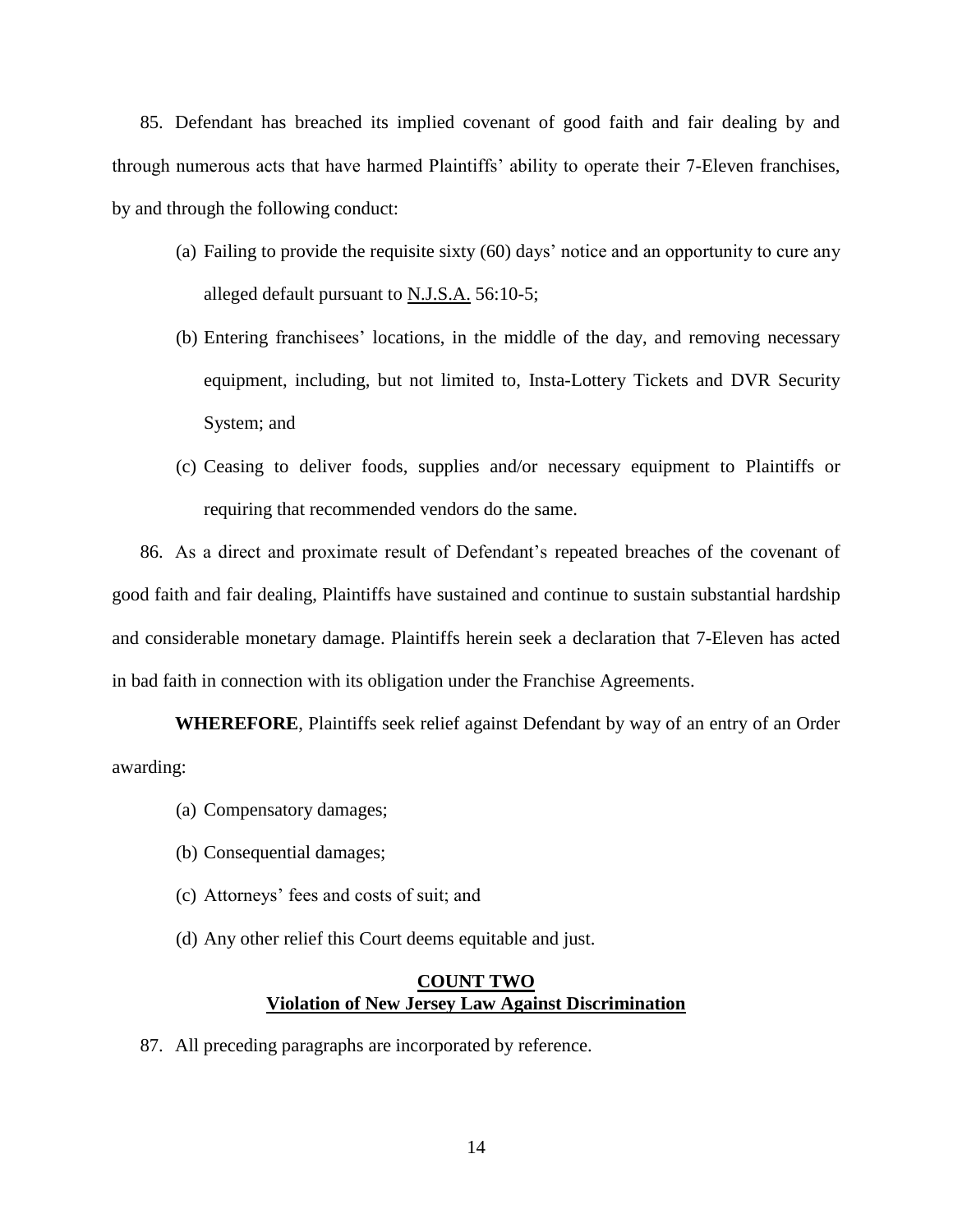85. Defendant has breached its implied covenant of good faith and fair dealing by and through numerous acts that have harmed Plaintiffs' ability to operate their 7-Eleven franchises, by and through the following conduct:

- (a) Failing to provide the requisite sixty (60) days' notice and an opportunity to cure any alleged default pursuant to N.J.S.A. 56:10-5;
- (b) Entering franchisees' locations, in the middle of the day, and removing necessary equipment, including, but not limited to, Insta-Lottery Tickets and DVR Security System; and
- (c) Ceasing to deliver foods, supplies and/or necessary equipment to Plaintiffs or requiring that recommended vendors do the same.

86. As a direct and proximate result of Defendant's repeated breaches of the covenant of good faith and fair dealing, Plaintiffs have sustained and continue to sustain substantial hardship and considerable monetary damage. Plaintiffs herein seek a declaration that 7-Eleven has acted in bad faith in connection with its obligation under the Franchise Agreements.

**WHEREFORE**, Plaintiffs seek relief against Defendant by way of an entry of an Order awarding:

- (a) Compensatory damages;
- (b) Consequential damages;
- (c) Attorneys' fees and costs of suit; and
- (d) Any other relief this Court deems equitable and just.

## **COUNT TWO Violation of New Jersey Law Against Discrimination**

87. All preceding paragraphs are incorporated by reference.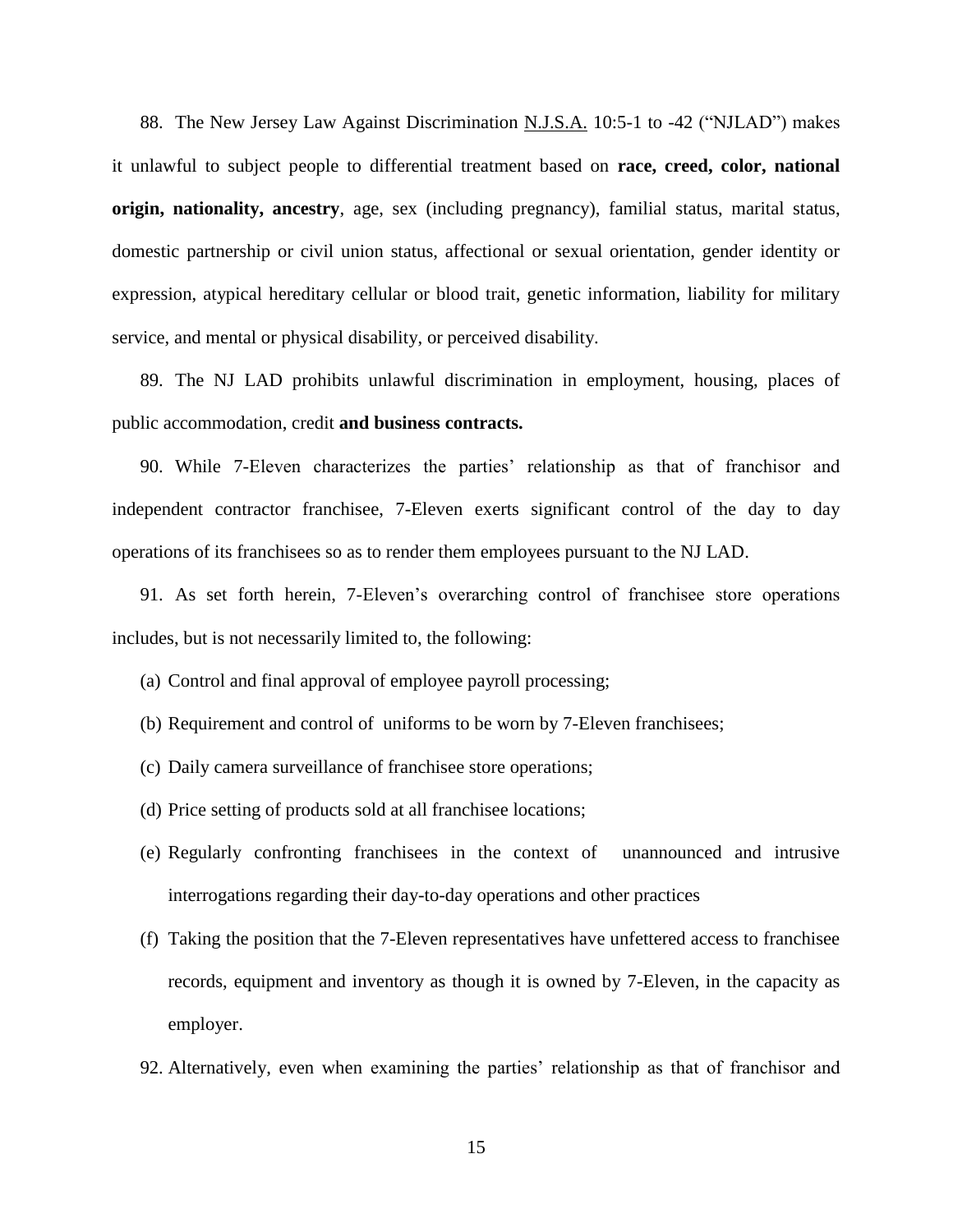88. The New Jersey Law Against Discrimination N.J.S.A. 10:5-1 to -42 ("NJLAD") makes it unlawful to subject people to differential treatment based on **race, creed, color, national origin, nationality, ancestry**, age, sex (including pregnancy), familial status, marital status, domestic partnership or civil union status, affectional or sexual orientation, gender identity or expression, atypical hereditary cellular or blood trait, genetic information, liability for military service, and mental or physical disability, or perceived disability.

89. The NJ LAD prohibits unlawful discrimination in employment, housing, places of public accommodation, credit **and business contracts.**

90. While 7-Eleven characterizes the parties' relationship as that of franchisor and independent contractor franchisee, 7-Eleven exerts significant control of the day to day operations of its franchisees so as to render them employees pursuant to the NJ LAD.

91. As set forth herein, 7-Eleven's overarching control of franchisee store operations includes, but is not necessarily limited to, the following:

- (a) Control and final approval of employee payroll processing;
- (b) Requirement and control of uniforms to be worn by 7-Eleven franchisees;
- (c) Daily camera surveillance of franchisee store operations;
- (d) Price setting of products sold at all franchisee locations;
- (e) Regularly confronting franchisees in the context of unannounced and intrusive interrogations regarding their day-to-day operations and other practices
- (f) Taking the position that the 7-Eleven representatives have unfettered access to franchisee records, equipment and inventory as though it is owned by 7-Eleven, in the capacity as employer.
- 92. Alternatively, even when examining the parties' relationship as that of franchisor and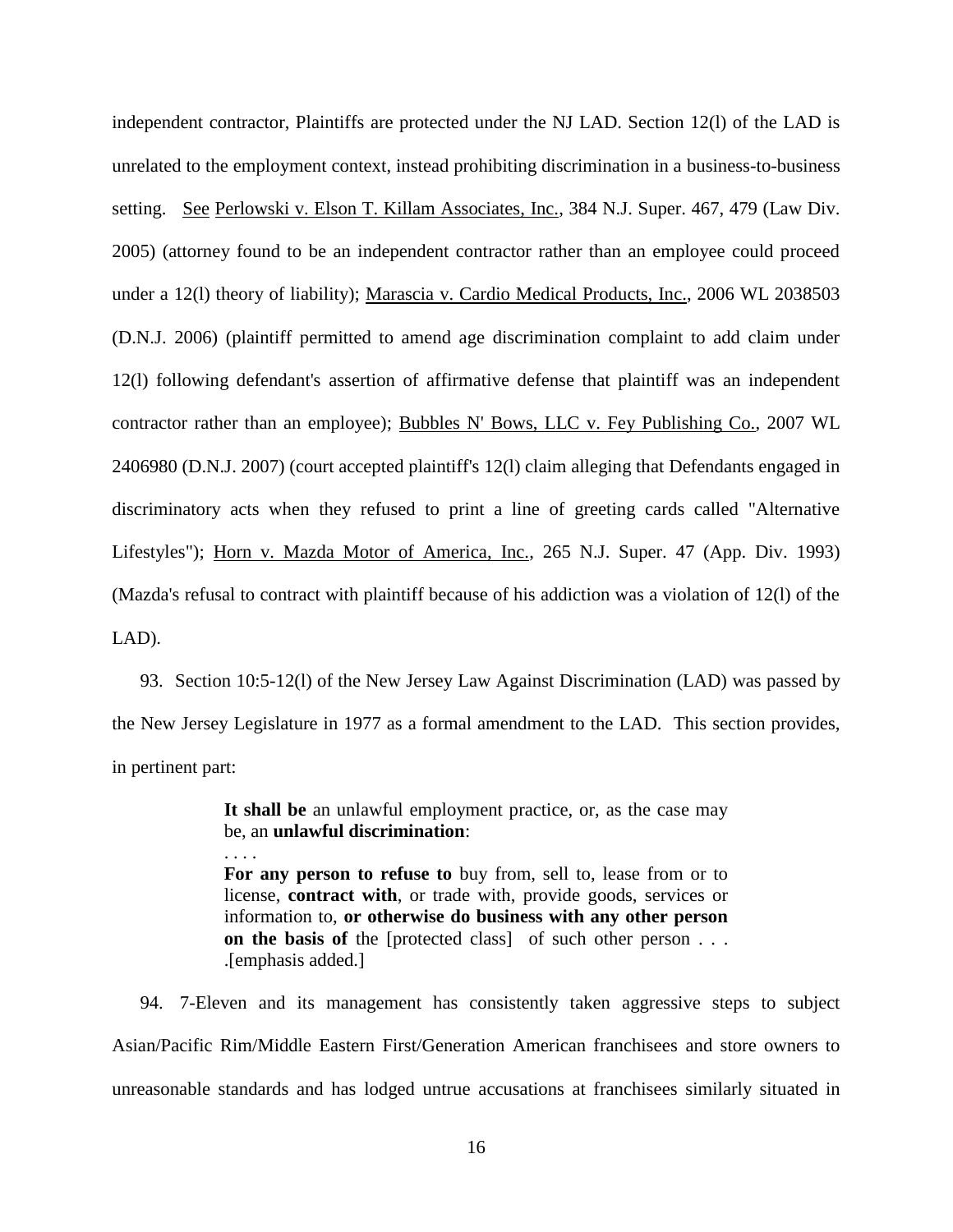independent contractor, Plaintiffs are protected under the NJ LAD. Section 12(l) of the LAD is unrelated to the employment context, instead prohibiting discrimination in a business-to-business setting. See Perlowski v. Elson T. Killam Associates, Inc., 384 N.J. Super. 467, 479 (Law Div. 2005) (attorney found to be an independent contractor rather than an employee could proceed under a 12(l) theory of liability); Marascia v. Cardio Medical Products, Inc., 2006 WL 2038503 (D.N.J. 2006) (plaintiff permitted to amend age discrimination complaint to add claim under 12(l) following defendant's assertion of affirmative defense that plaintiff was an independent contractor rather than an employee); Bubbles N' Bows, LLC v. Fey Publishing Co., 2007 WL 2406980 (D.N.J. 2007) (court accepted plaintiff's 12(l) claim alleging that Defendants engaged in discriminatory acts when they refused to print a line of greeting cards called "Alternative Lifestyles"); Horn v. Mazda Motor of America, Inc., 265 N.J. Super. 47 (App. Div. 1993) (Mazda's refusal to contract with plaintiff because of his addiction was a violation of 12(l) of the LAD).

93. Section 10:5-12(l) of the New Jersey Law Against Discrimination (LAD) was passed by the New Jersey Legislature in 1977 as a formal amendment to the LAD. This section provides, in pertinent part:

> **It shall be** an unlawful employment practice, or, as the case may be, an **unlawful discrimination**:

. . . .

**For any person to refuse to** buy from, sell to, lease from or to license, **contract with**, or trade with, provide goods, services or information to, **or otherwise do business with any other person on the basis of** the [protected class] of such other person . . . .[emphasis added.]

94. 7-Eleven and its management has consistently taken aggressive steps to subject Asian/Pacific Rim/Middle Eastern First/Generation American franchisees and store owners to unreasonable standards and has lodged untrue accusations at franchisees similarly situated in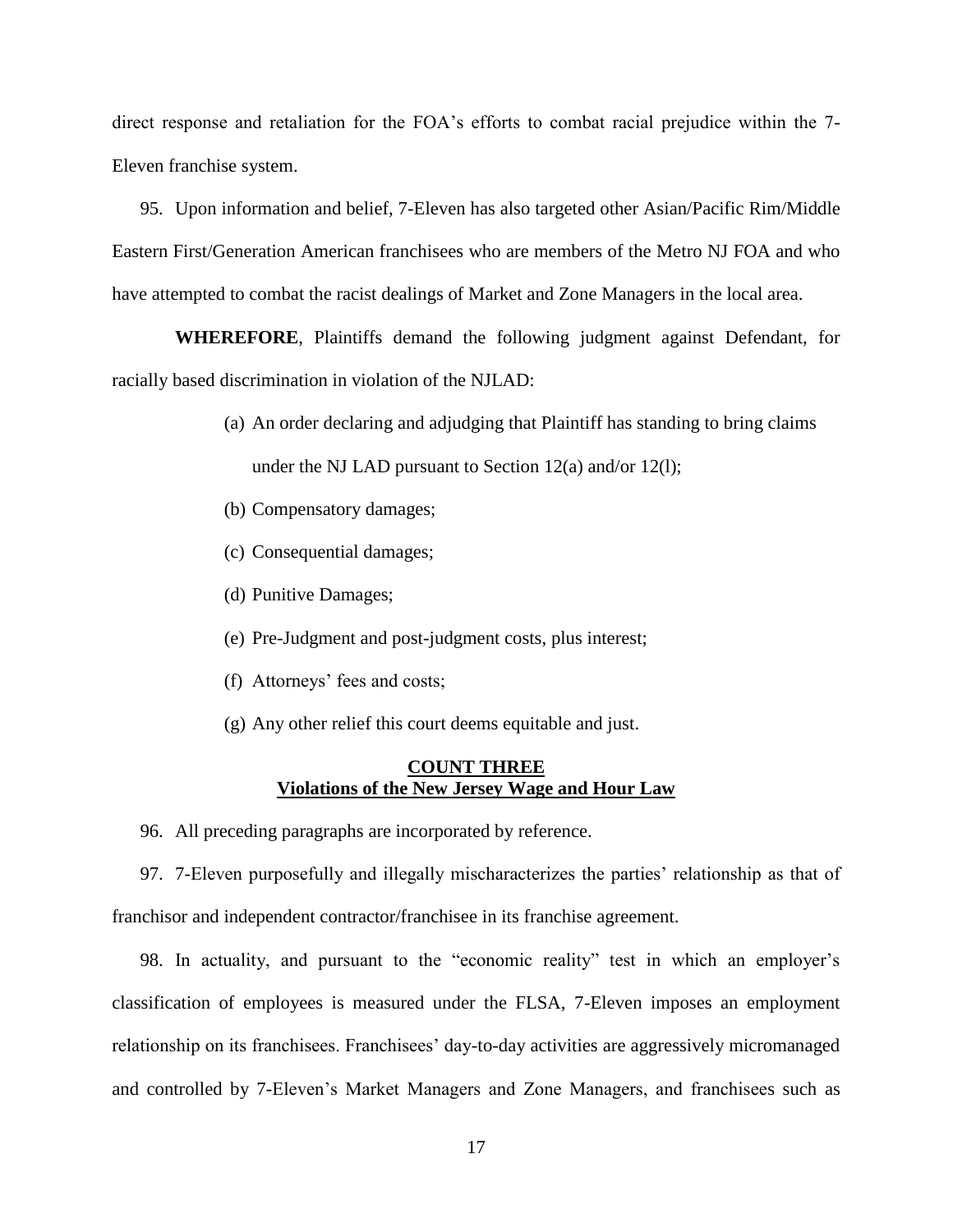direct response and retaliation for the FOA's efforts to combat racial prejudice within the 7- Eleven franchise system.

95. Upon information and belief, 7-Eleven has also targeted other Asian/Pacific Rim/Middle Eastern First/Generation American franchisees who are members of the Metro NJ FOA and who have attempted to combat the racist dealings of Market and Zone Managers in the local area.

**WHEREFORE**, Plaintiffs demand the following judgment against Defendant, for racially based discrimination in violation of the NJLAD:

- (a) An order declaring and adjudging that Plaintiff has standing to bring claims under the NJ LAD pursuant to Section 12(a) and/or 12(l);
- (b) Compensatory damages;
- (c) Consequential damages;
- (d) Punitive Damages;
- (e) Pre-Judgment and post-judgment costs, plus interest;
- (f) Attorneys' fees and costs;
- (g) Any other relief this court deems equitable and just.

## **COUNT THREE Violations of the New Jersey Wage and Hour Law**

96. All preceding paragraphs are incorporated by reference.

97. 7-Eleven purposefully and illegally mischaracterizes the parties' relationship as that of franchisor and independent contractor/franchisee in its franchise agreement.

98. In actuality, and pursuant to the "economic reality" test in which an employer's classification of employees is measured under the FLSA, 7-Eleven imposes an employment relationship on its franchisees. Franchisees' day-to-day activities are aggressively micromanaged and controlled by 7-Eleven's Market Managers and Zone Managers, and franchisees such as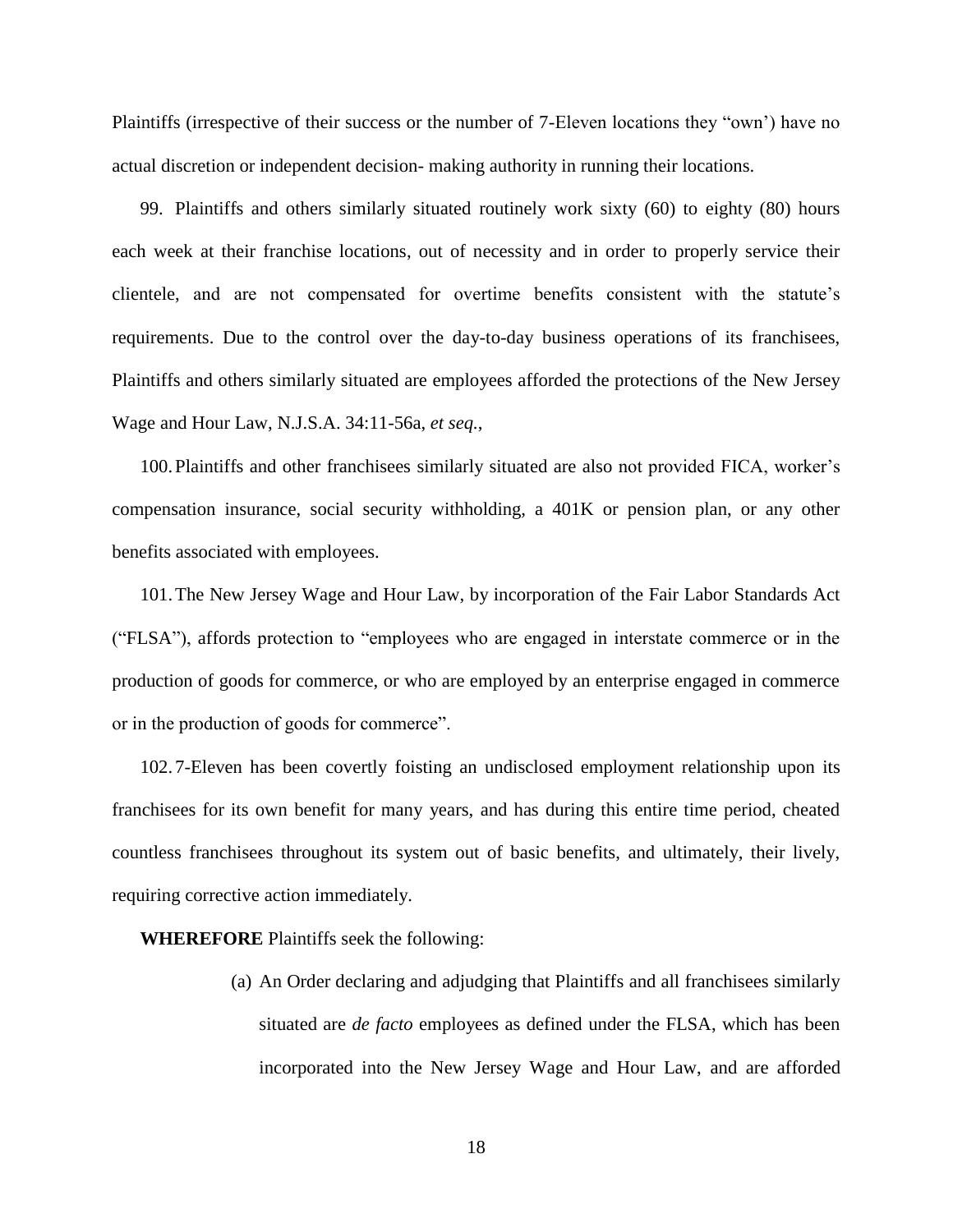Plaintiffs (irrespective of their success or the number of 7-Eleven locations they "own') have no actual discretion or independent decision- making authority in running their locations.

99. Plaintiffs and others similarly situated routinely work sixty (60) to eighty (80) hours each week at their franchise locations, out of necessity and in order to properly service their clientele, and are not compensated for overtime benefits consistent with the statute's requirements. Due to the control over the day-to-day business operations of its franchisees, Plaintiffs and others similarly situated are employees afforded the protections of the New Jersey Wage and Hour Law, N.J.S.A. 34:11-56a, *et seq.*,

100.Plaintiffs and other franchisees similarly situated are also not provided FICA, worker's compensation insurance, social security withholding, a 401K or pension plan, or any other benefits associated with employees.

101.The New Jersey Wage and Hour Law, by incorporation of the Fair Labor Standards Act ("FLSA"), affords protection to "employees who are engaged in interstate commerce or in the production of goods for commerce, or who are employed by an enterprise engaged in commerce or in the production of goods for commerce".

102. 7-Eleven has been covertly foisting an undisclosed employment relationship upon its franchisees for its own benefit for many years, and has during this entire time period, cheated countless franchisees throughout its system out of basic benefits, and ultimately, their lively, requiring corrective action immediately.

**WHEREFORE** Plaintiffs seek the following:

(a) An Order declaring and adjudging that Plaintiffs and all franchisees similarly situated are *de facto* employees as defined under the FLSA, which has been incorporated into the New Jersey Wage and Hour Law, and are afforded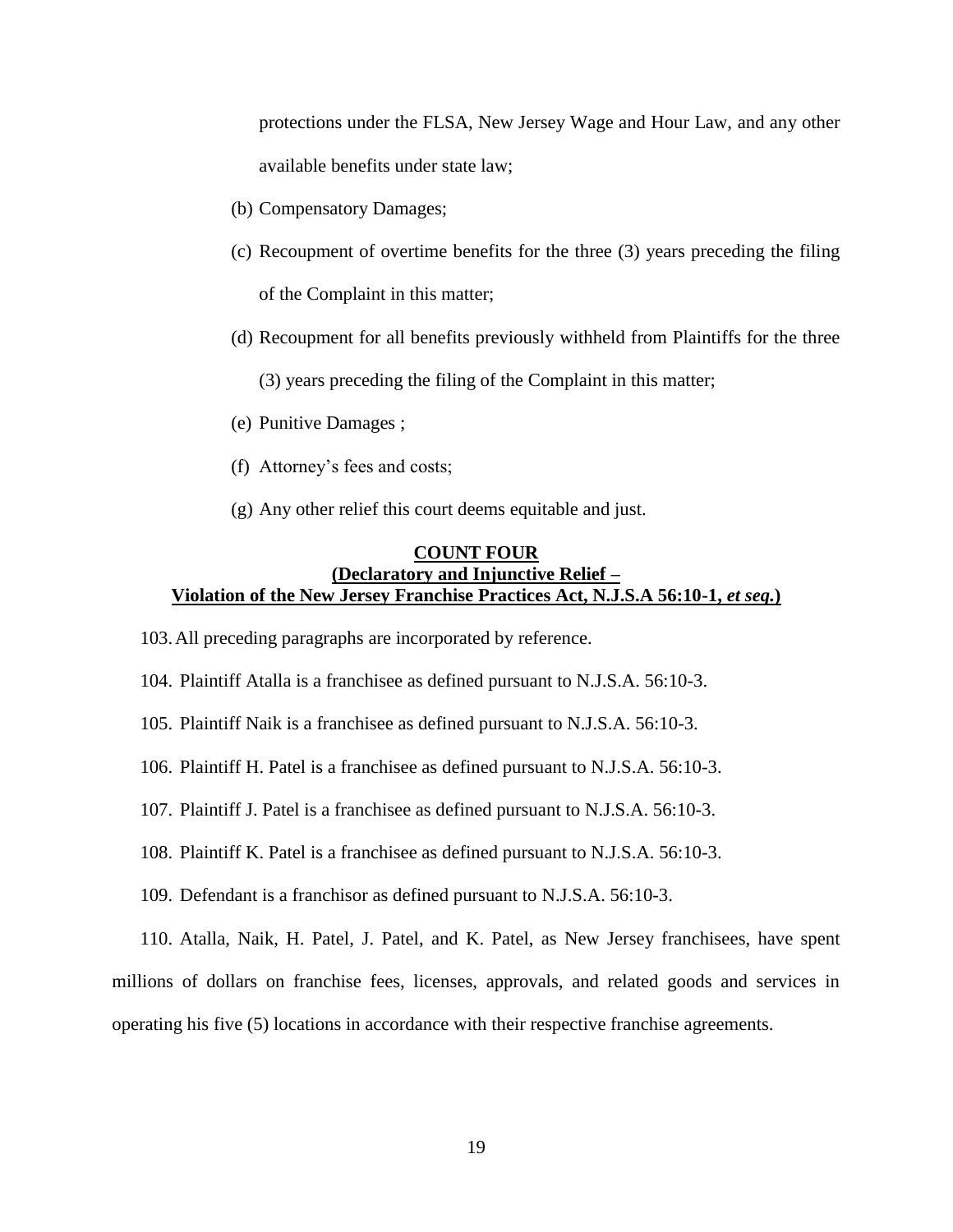protections under the FLSA, New Jersey Wage and Hour Law, and any other available benefits under state law;

- (b) Compensatory Damages;
- (c) Recoupment of overtime benefits for the three (3) years preceding the filing of the Complaint in this matter;
- (d) Recoupment for all benefits previously withheld from Plaintiffs for the three

(3) years preceding the filing of the Complaint in this matter;

- (e) Punitive Damages ;
- (f) Attorney's fees and costs;
- (g) Any other relief this court deems equitable and just.

## **COUNT FOUR (Declaratory and Injunctive Relief – Violation of the New Jersey Franchise Practices Act, N.J.S.A 56:10-1,** *et seq.***)**

103.All preceding paragraphs are incorporated by reference.

104. Plaintiff Atalla is a franchisee as defined pursuant to N.J.S.A. 56:10-3.

105. Plaintiff Naik is a franchisee as defined pursuant to N.J.S.A. 56:10-3.

106. Plaintiff H. Patel is a franchisee as defined pursuant to N.J.S.A. 56:10-3.

107. Plaintiff J. Patel is a franchisee as defined pursuant to N.J.S.A. 56:10-3.

108. Plaintiff K. Patel is a franchisee as defined pursuant to N.J.S.A. 56:10-3.

109. Defendant is a franchisor as defined pursuant to N.J.S.A. 56:10-3.

110. Atalla, Naik, H. Patel, J. Patel, and K. Patel, as New Jersey franchisees, have spent millions of dollars on franchise fees, licenses, approvals, and related goods and services in operating his five (5) locations in accordance with their respective franchise agreements.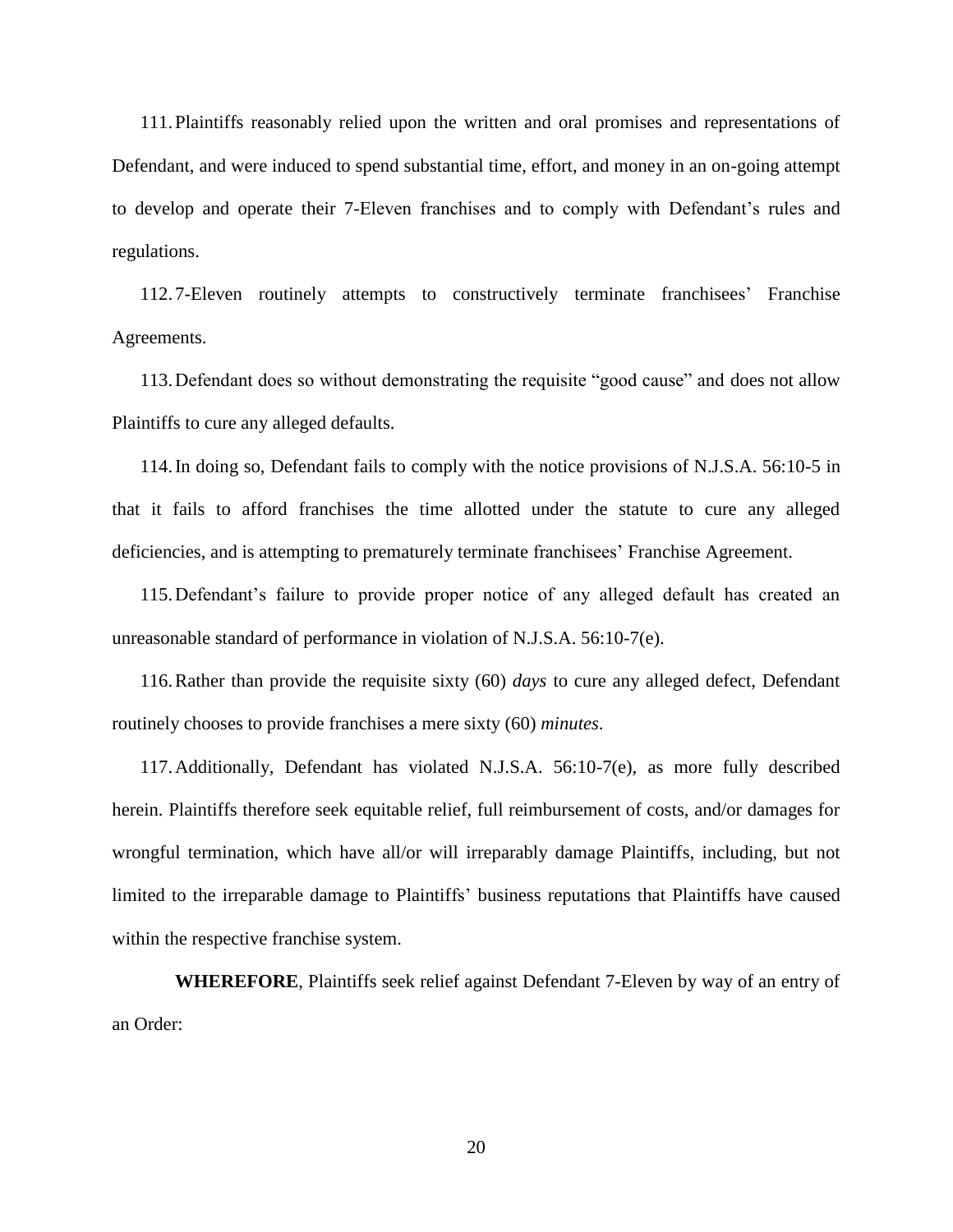111.Plaintiffs reasonably relied upon the written and oral promises and representations of Defendant, and were induced to spend substantial time, effort, and money in an on-going attempt to develop and operate their 7-Eleven franchises and to comply with Defendant's rules and regulations.

112. 7-Eleven routinely attempts to constructively terminate franchisees' Franchise Agreements.

113.Defendant does so without demonstrating the requisite "good cause" and does not allow Plaintiffs to cure any alleged defaults.

114.In doing so, Defendant fails to comply with the notice provisions of N.J.S.A. 56:10-5 in that it fails to afford franchises the time allotted under the statute to cure any alleged deficiencies, and is attempting to prematurely terminate franchisees' Franchise Agreement.

115.Defendant's failure to provide proper notice of any alleged default has created an unreasonable standard of performance in violation of N.J.S.A. 56:10-7(e).

116.Rather than provide the requisite sixty (60) *days* to cure any alleged defect, Defendant routinely chooses to provide franchises a mere sixty (60) *minutes*.

117.Additionally, Defendant has violated N.J.S.A. 56:10-7(e), as more fully described herein. Plaintiffs therefore seek equitable relief, full reimbursement of costs, and/or damages for wrongful termination, which have all/or will irreparably damage Plaintiffs, including, but not limited to the irreparable damage to Plaintiffs' business reputations that Plaintiffs have caused within the respective franchise system.

**WHEREFORE**, Plaintiffs seek relief against Defendant 7-Eleven by way of an entry of an Order: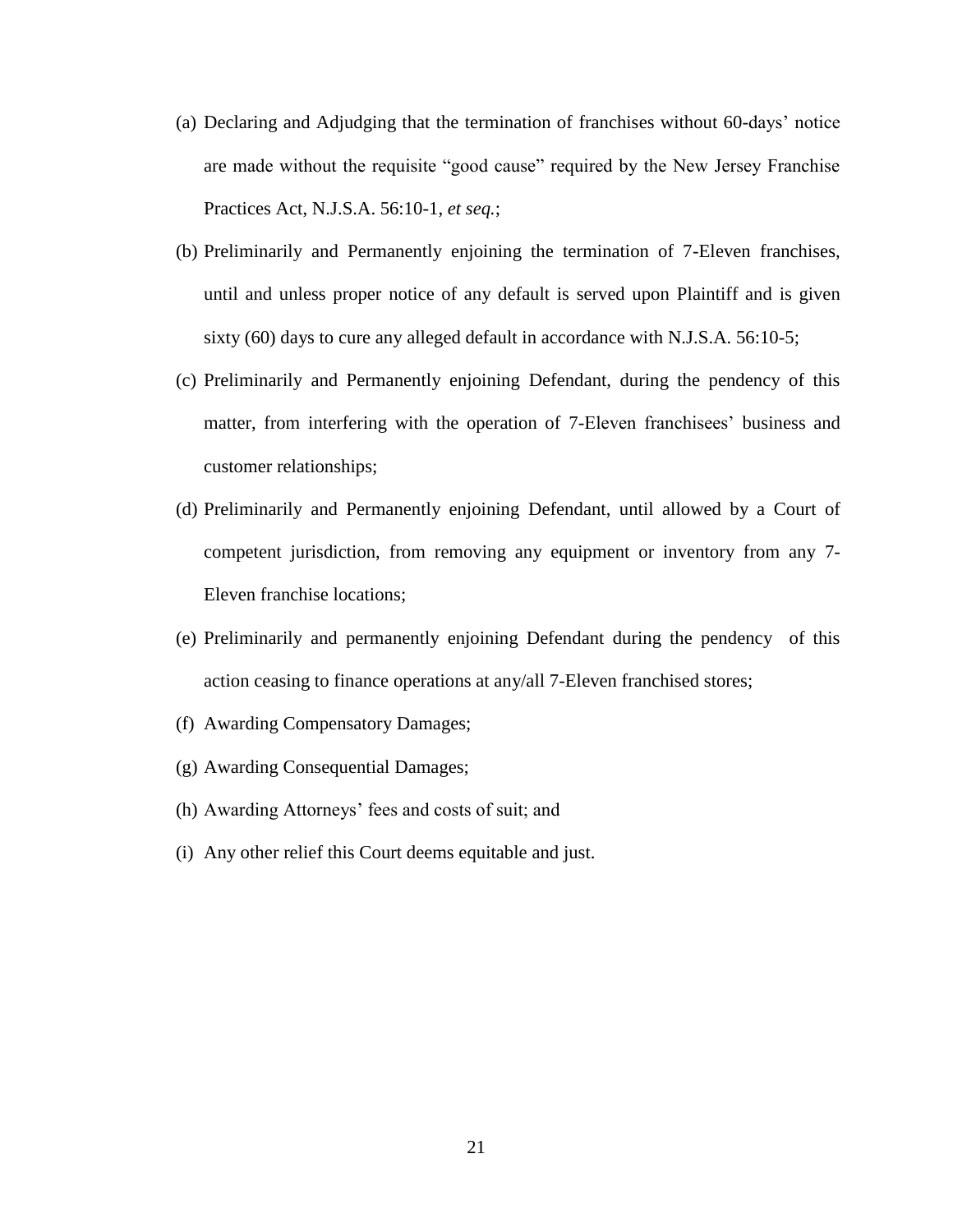- (a) Declaring and Adjudging that the termination of franchises without 60-days' notice are made without the requisite "good cause" required by the New Jersey Franchise Practices Act, N.J.S.A. 56:10-1, *et seq.*;
- (b) Preliminarily and Permanently enjoining the termination of 7-Eleven franchises, until and unless proper notice of any default is served upon Plaintiff and is given sixty (60) days to cure any alleged default in accordance with N.J.S.A. 56:10-5;
- (c) Preliminarily and Permanently enjoining Defendant, during the pendency of this matter, from interfering with the operation of 7-Eleven franchisees' business and customer relationships;
- (d) Preliminarily and Permanently enjoining Defendant, until allowed by a Court of competent jurisdiction, from removing any equipment or inventory from any 7- Eleven franchise locations;
- (e) Preliminarily and permanently enjoining Defendant during the pendency of this action ceasing to finance operations at any/all 7-Eleven franchised stores;
- (f) Awarding Compensatory Damages;
- (g) Awarding Consequential Damages;
- (h) Awarding Attorneys' fees and costs of suit; and
- (i) Any other relief this Court deems equitable and just.